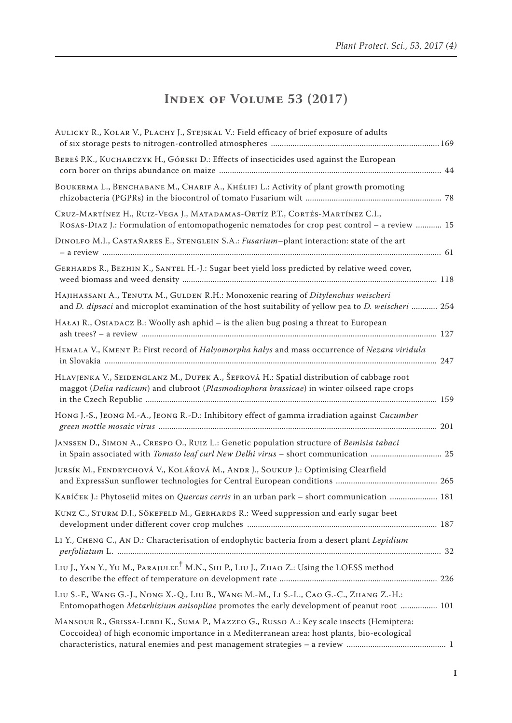## **Index of Volume 53 (2017)**

| AULICKY R., KOLAR V., PLACHY J., STEJSKAL V.: Field efficacy of brief exposure of adults                                                                                                               |  |
|--------------------------------------------------------------------------------------------------------------------------------------------------------------------------------------------------------|--|
| BEREŚ P.K., KUCHARCZYK H., GÓRSKI D.: Effects of insecticides used against the European                                                                                                                |  |
| BOUKERMA L., BENCHABANE M., CHARIF A., KHÉLIFI L.: Activity of plant growth promoting                                                                                                                  |  |
| CRUZ-MARTÍNEZ H., RUIZ-VEGA J., MATADAMAS-ORTÍZ P.T., CORTÉS-MARTÍNEZ C.I.,<br>ROSAS-DIAZ J.: Formulation of entomopathogenic nematodes for crop pest control - a review  15                           |  |
| DINOLFO M.I., CASTAÑARES E., STENGLEIN S.A.: Fusarium-plant interaction: state of the art                                                                                                              |  |
| GERHARDS R., BEZHIN K., SANTEL H.-J.: Sugar beet yield loss predicted by relative weed cover,                                                                                                          |  |
| HAJIHASSANI A., TENUTA M., GULDEN R.H.: Monoxenic rearing of Ditylenchus weischeri<br>and <i>D. dipsaci</i> and microplot examination of the host suitability of yellow pea to <i>D. weischeri</i> 254 |  |
| HAŁAJ R., OSIADACZ B.: Woolly ash aphid – is the alien bug posing a threat to European                                                                                                                 |  |
| HEMALA V., KMENT P.: First record of Halyomorpha halys and mass occurrence of Nezara viridula                                                                                                          |  |
| HLAVJENKA V., SEIDENGLANZ M., DUFEK A., ŠEFROVÁ H.: Spatial distribution of cabbage root<br>maggot (Delia radicum) and clubroot (Plasmodiophora brassicae) in winter oilseed rape crops                |  |
| Hong J.-S., JEONG M.-A., JEONG R.-D.: Inhibitory effect of gamma irradiation against Cucumber                                                                                                          |  |
| JANSSEN D., SIMON A., CRESPO O., RUIZ L.: Genetic population structure of Bemisia tabaci<br>in Spain associated with <i>Tomato leaf curl New Delhi virus</i> - short communication  25                 |  |
| JURSÍK M., FENDRYCHOVÁ V., KOLÁŘOVÁ M., ANDR J., SOUKUP J.: Optimising Clearfield                                                                                                                      |  |
| KABÍČEK J.: Phytoseiid mites on Quercus cerris in an urban park - short communication  181                                                                                                             |  |
| KUNZ C., STURM D.J., SÖKEFELD M., GERHARDS R.: Weed suppression and early sugar beet                                                                                                                   |  |
| LI Y., CHENG C., AN D.: Characterisation of endophytic bacteria from a desert plant Lepidium                                                                                                           |  |
| LIU J., YAN Y., YU M., PARAJULEE <sup>†</sup> M.N., SHI P., LIU J., ZHAO Z.: Using the LOESS method                                                                                                    |  |
| Liu S.-F., Wang G.-J., Nong X.-Q., Liu B., Wang M.-M., Li S.-L., Cao G.-C., Zhang Z.-H.:<br>Entomopathogen Metarhizium anisopliae promotes the early development of peanut root  101                   |  |
| MANSOUR R., GRISSA-LEBDI K., SUMA P., MAZZEO G., RUSSO A.: Key scale insects (Hemiptera:<br>Coccoidea) of high economic importance in a Mediterranean area: host plants, bio-ecological                |  |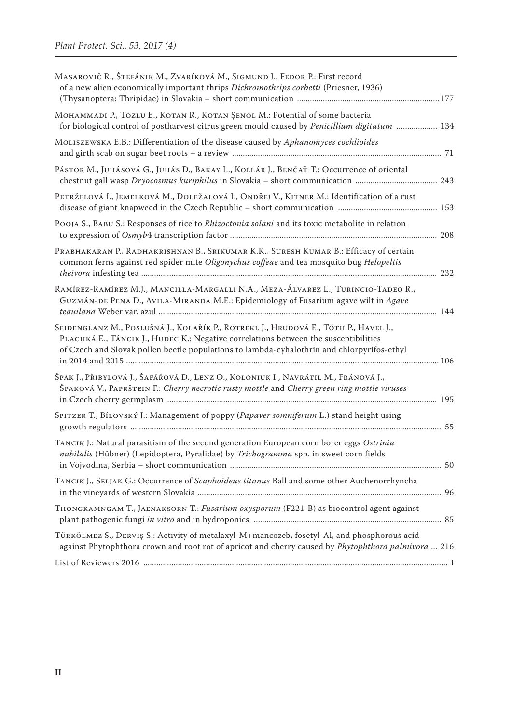| MASAROVIČ R., ŠTEFÁNIK M., ZVARÍKOVÁ M., SIGMUND J., FEDOR P.: First record<br>of a new alien economically important thrips Dichromothrips corbetti (Priesner, 1936)                                                                                                     |  |
|--------------------------------------------------------------------------------------------------------------------------------------------------------------------------------------------------------------------------------------------------------------------------|--|
| Монаммарі Р., Tozlu E., Котам R., Котам ŞENOL M.: Potential of some bacteria<br>for biological control of postharvest citrus green mould caused by Penicillium digitatum  134                                                                                            |  |
| MOLISZEWSKA E.B.: Differentiation of the disease caused by Aphanomyces cochlioides                                                                                                                                                                                       |  |
| PÁSTOR M., JUHÁSOVÁ G., JUHÁS D., BAKAY L., KOLLÁR J., BENČAŤ T.: Occurrence of oriental                                                                                                                                                                                 |  |
| PETRŽELOVÁ I., JEMELKOVÁ M., DOLEŽALOVÁ I., ONDŘEJ V., KITNER M.: Identification of a rust                                                                                                                                                                               |  |
| POOJA S., BABU S.: Responses of rice to Rhizoctonia solani and its toxic metabolite in relation                                                                                                                                                                          |  |
| PRABHAKARAN P., RADHAKRISHNAN B., SRIKUMAR K.K., SURESH KUMAR B.: Efficacy of certain<br>common ferns against red spider mite Oligonychus coffeae and tea mosquito bug Helopeltis                                                                                        |  |
| RAMÍREZ-RAMÍREZ M.J., MANCILLA-MARGALLI N.A., MEZA-ÁLVAREZ L., TURINCIO-TADEO R.,<br>GUZMÁN-DE PENA D., AVILA-MIRANDA M.E.: Epidemiology of Fusarium agave wilt in Agave                                                                                                 |  |
| Seidenglanz M., Poslušná J., Kolařík P., Rotrekl J., Hrudová E., Tóth P., Havel J.,<br>PLACHKÁ E., TÁNCIK J., HUDEC K.: Negative correlations between the susceptibilities<br>of Czech and Slovak pollen beetle populations to lambda-cyhalothrin and chlorpyrifos-ethyl |  |
| Špak J., Přibylová J., Šafářová D., Lenz O., Koloniuk I., Navrátil M., Fránová J.,<br>ŠPAKOVÁ V., PAPRŠTEIN F.: Cherry necrotic rusty mottle and Cherry green ring mottle viruses                                                                                        |  |
| SPITZER T., BÍLOVSKÝ J.: Management of poppy (Papaver somniferum L.) stand height using                                                                                                                                                                                  |  |
| TANCIK J.: Natural parasitism of the second generation European corn borer eggs Ostrinia<br>nubilalis (Hübner) (Lepidoptera, Pyralidae) by Trichogramma spp. in sweet corn fields                                                                                        |  |
| TANCIK J., SELJAK G.: Occurrence of Scaphoideus titanus Ball and some other Auchenorrhyncha                                                                                                                                                                              |  |
| THONGKAMNGAM T., JAENAKSORN T.: Fusarium oxysporum (F221-B) as biocontrol agent against                                                                                                                                                                                  |  |
| TÜRKÖLMEZ S., DERVIŞ S.: Activity of metalaxyl-M+mancozeb, fosetyl-Al, and phosphorous acid<br>against Phytophthora crown and root rot of apricot and cherry caused by Phytophthora palmivora  216                                                                       |  |
|                                                                                                                                                                                                                                                                          |  |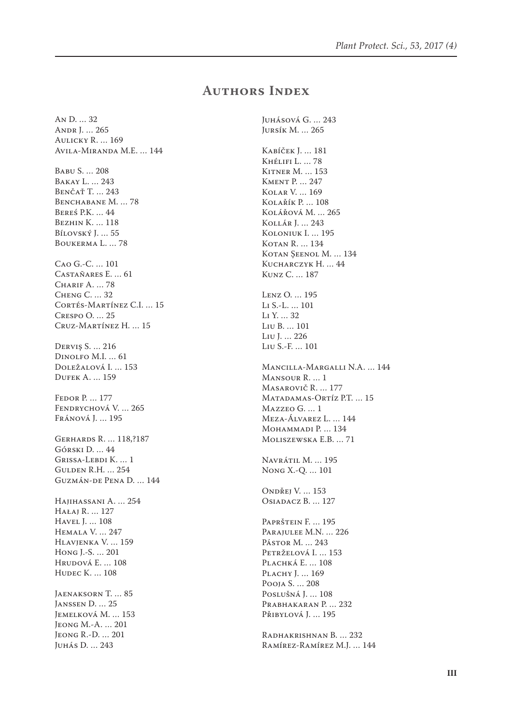## **Authors Index**

An D. … 32 Andr J. … 265 Aulicky R. … 169 Avila-Miranda M.E. … 144 Babu S. … 208 Bakay L. … 243 Benčať T. … 243 BENCHABANE M. ... 78 Bereś P.K. … 44 Bezhin K. … 118 Bílovský J. ... 55 Boukerma L. … 78 Cao G.-C. … 101 Castañares E. … 61 Charif A. … 78 Cheng C. … 32 Cortés-Martínez C.I. … 15 Crespo O. … 25 Cruz-Martínez H. … 15 Derviş S. … 216 Dinolfo M.I. … 61 Doležalová I. … 153 Dufek A. … 159 Fedor P. … 177 Fendrychová V. … 265 Fránová J. … 195 Gerhards R. … 118,?187 Górski D. … 44 Grissa-Lebdi K. … 1 Gulden R.H. … 254 Guzmán-de Pena D. … 144 Hajihassani A. … 254 Hałaj R. … 127 Havel J. … 108 Hemala V. … 247 Hlavjenka V. … 159 Hong J.-S. … 201 Hrudová E. … 108 Hudec K. … 108 Jaenaksorn T. … 85 Janssen D. … 25 Jemelková M. … 153 Jeong M.-A. … 201 Jeong R.-D. … 201 Juhás D. … 243

Juhásová G. … 243 Jursík M. … 265 Kabíček J. … 181 Khélifi L. … 78 Kitner M. … 153 Kment P. … 247 Kolar V. … 169 Kolařík P. … 108 Kolářová M. … 265 Kollár J. … 243 Koloniuk I. … 195 KOTAN R. ... 134 KOTAN ŞEENOL M. ... 134 Kucharczyk H. … 44 Kunz C. … 187 Lenz O. … 195 Li S.-L. … 101 Li Y. … 32 Liu B. … 101 Liu J. … 226 Liu S.-F. … 101 Mancilla-Margalli N.A. … 144 Mansour R. … 1 Masarovič R. … 177 MATADAMAS-ORTÍZ P.T. ... 15 Mazzeo G. … 1 Meza-Álvarez L. … 144 MOHAMMADI P. ... 134 Moliszewska E.B. … 71 Navrátil M. … 195 Nong X.-Q. … 101 Ondřej V. … 153 Osiadacz B. ... 127 Paprštein F. … 195 PARAJULEE M.N. ... 226 Pástor M. … 243 Petrželová I. … 153 PLACHKÁ E. ... 108 PLACHY J. ... 169 Pooja S. … 208 Poslušná J. … 108 Prabhakaran P. … 232 Přibylová J. … 195 Radhakrishnan B. … 232 Ramírez-Ramírez M.J. … 144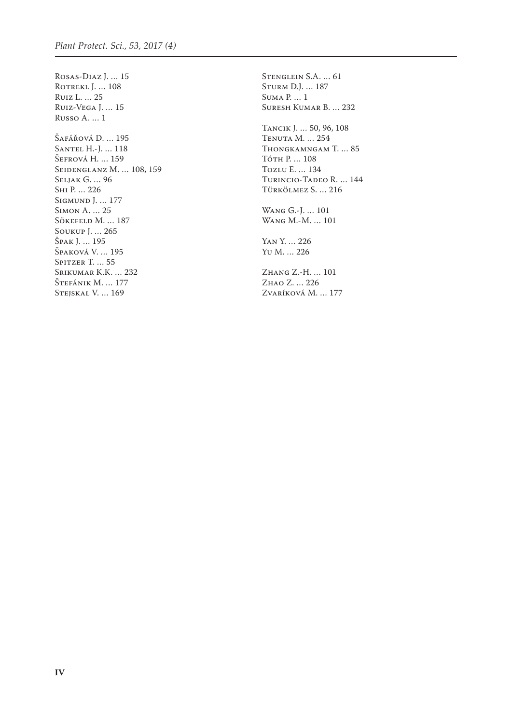Rosas-Diaz J. … 15 ROTREKL J. ... 108 Ruiz L. … 25 Ruiz-Vega J. … 15 Russo A. … 1 Šafářová D. … 195 Santel H.-J. … 118 Šefrová H. … 159 Seidenglanz M. … 108, 159 Seljak G. … 96 Shi P. … 226 SIGMUND J. ... 177 Simon A. … 25 Sökefeld M. ... 187 Soukup J. … 265 Špak J. … 195 Špaková V. … 195 Spitzer T. ... 55 Srikumar K.K. … 232 Štefánik M. … 177 Stejskal V. … 169

Stenglein S.A. … 61 Sturm D.J. … 187 Suma P. … 1 Suresh Kumar B. … 232 Tancik J. … 50, 96, 108 Tenuta M. … 254

Thongkamngam T. … 85 Tóth P. … 108 Tozlu E. … 134 Turincio-Tadeo R. … 144 Türkölmez S. … 216

Wang G.-J. … 101 Wang M.-M. … 101

Yan Y. … 226 Yu M. … 226

Zhang Z.-H. … 101 Zhao Z. … 226 Zvaríková M. … 177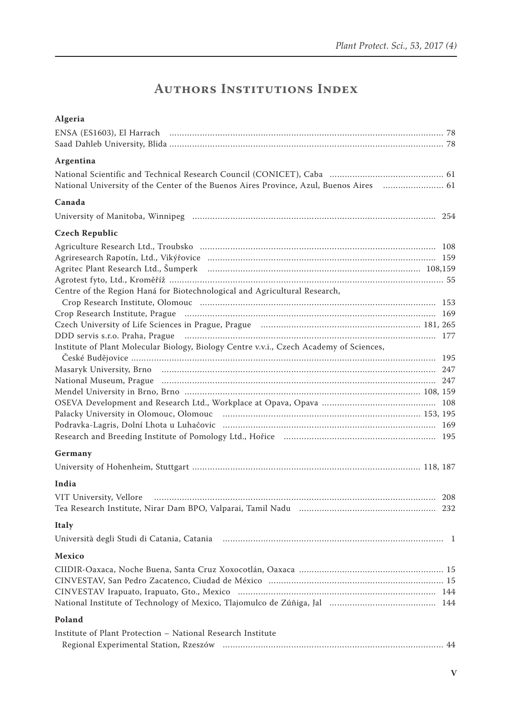## **Authors Institutions Index**

| Algeria                                                                                                        |  |
|----------------------------------------------------------------------------------------------------------------|--|
|                                                                                                                |  |
|                                                                                                                |  |
| Argentina                                                                                                      |  |
|                                                                                                                |  |
| National University of the Center of the Buenos Aires Province, Azul, Buenos Aires  61                         |  |
| Canada                                                                                                         |  |
|                                                                                                                |  |
| <b>Czech Republic</b>                                                                                          |  |
|                                                                                                                |  |
|                                                                                                                |  |
|                                                                                                                |  |
|                                                                                                                |  |
| Centre of the Region Haná for Biotechnological and Agricultural Research,                                      |  |
|                                                                                                                |  |
|                                                                                                                |  |
|                                                                                                                |  |
|                                                                                                                |  |
| Institute of Plant Molecular Biology, Biology Centre v.v.i., Czech Academy of Sciences,                        |  |
|                                                                                                                |  |
|                                                                                                                |  |
|                                                                                                                |  |
|                                                                                                                |  |
|                                                                                                                |  |
|                                                                                                                |  |
|                                                                                                                |  |
|                                                                                                                |  |
| Germany                                                                                                        |  |
|                                                                                                                |  |
| India                                                                                                          |  |
|                                                                                                                |  |
| VIT University, Vellore manufactured and contract and contract and contract and contract and contract and cont |  |
| Italy                                                                                                          |  |
| Università degli Studi di Catania, Catania (1998) (1998) (1998) (1998) (1998) (1998) (1998) (1998) (1998) (19  |  |
| Mexico                                                                                                         |  |
|                                                                                                                |  |
|                                                                                                                |  |
|                                                                                                                |  |
|                                                                                                                |  |
| Poland                                                                                                         |  |
| Institute of Plant Protection - National Research Institute                                                    |  |
|                                                                                                                |  |
|                                                                                                                |  |